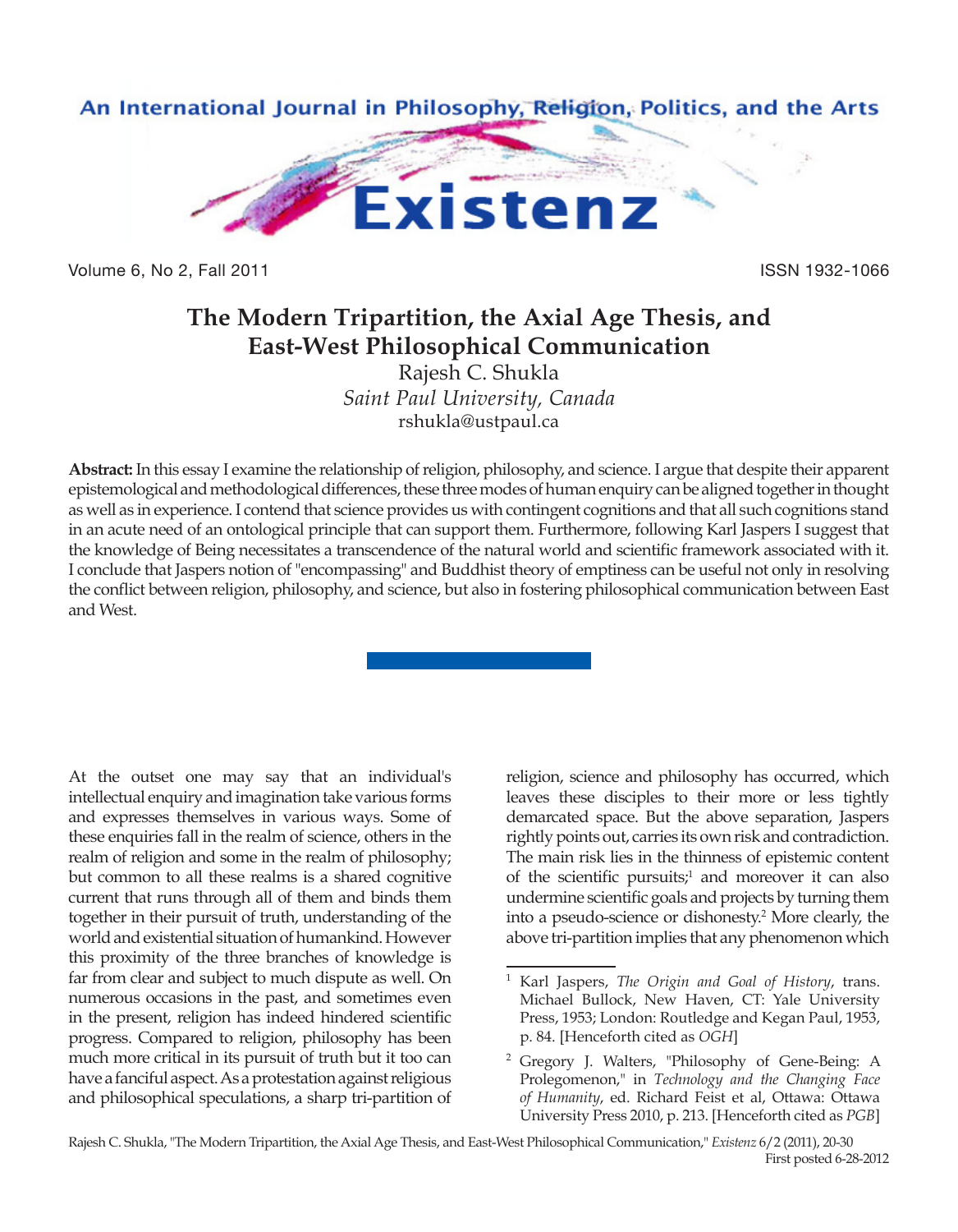

Volume 6, No 2, Fall 2011 **ISSN 1932-1066** 

# **The Modern Tripartition, the Axial Age Thesis, and East-West Philosophical Communication**

Rajesh C. Shukla *Saint Paul University, Canada* rshukla@ustpaul.ca

**Abstract:** In this essay I examine the relationship of religion, philosophy, and science. I argue that despite their apparent epistemological and methodological differences, these three modes of human enquiry can be aligned together in thought as well as in experience. I contend that science provides us with contingent cognitions and that all such cognitions stand in an acute need of an ontological principle that can support them. Furthermore, following Karl Jaspers I suggest that the knowledge of Being necessitates a transcendence of the natural world and scientific framework associated with it. I conclude that Jaspers notion of "encompassing" and Buddhist theory of emptiness can be useful not only in resolving the conflict between religion, philosophy, and science, but also in fostering philosophical communication between East and West.

At the outset one may say that an individual's intellectual enquiry and imagination take various forms and expresses themselves in various ways. Some of these enquiries fall in the realm of science, others in the realm of religion and some in the realm of philosophy; but common to all these realms is a shared cognitive current that runs through all of them and binds them together in their pursuit of truth, understanding of the world and existential situation of humankind. However this proximity of the three branches of knowledge is far from clear and subject to much dispute as well. On numerous occasions in the past, and sometimes even in the present, religion has indeed hindered scientific progress. Compared to religion, philosophy has been much more critical in its pursuit of truth but it too can have a fanciful aspect. As a protestation against religious and philosophical speculations, a sharp tri-partition of religion, science and philosophy has occurred, which leaves these disciples to their more or less tightly demarcated space. But the above separation, Jaspers rightly points out, carries its own risk and contradiction. The main risk lies in the thinness of epistemic content of the scientific pursuits;<sup>1</sup> and moreover it can also undermine scientific goals and projects by turning them into a pseudo-science or dishonesty.2 More clearly, the above tri-partition implies that any phenomenon which

<sup>1</sup> Karl Jaspers, *The Origin and Goal of History*, trans. Michael Bullock, New Haven, CT: Yale University Press, 1953; London: Routledge and Kegan Paul, 1953, p. 84. [Henceforth cited as *OGH*]

<sup>2</sup> Gregory J. Walters, "Philosophy of Gene-Being: A Prolegomenon," in *Technology and the Changing Face of Humanity*, ed. Richard Feist et al, Ottawa: Ottawa University Press 2010, p. 213. [Henceforth cited as *PGB*]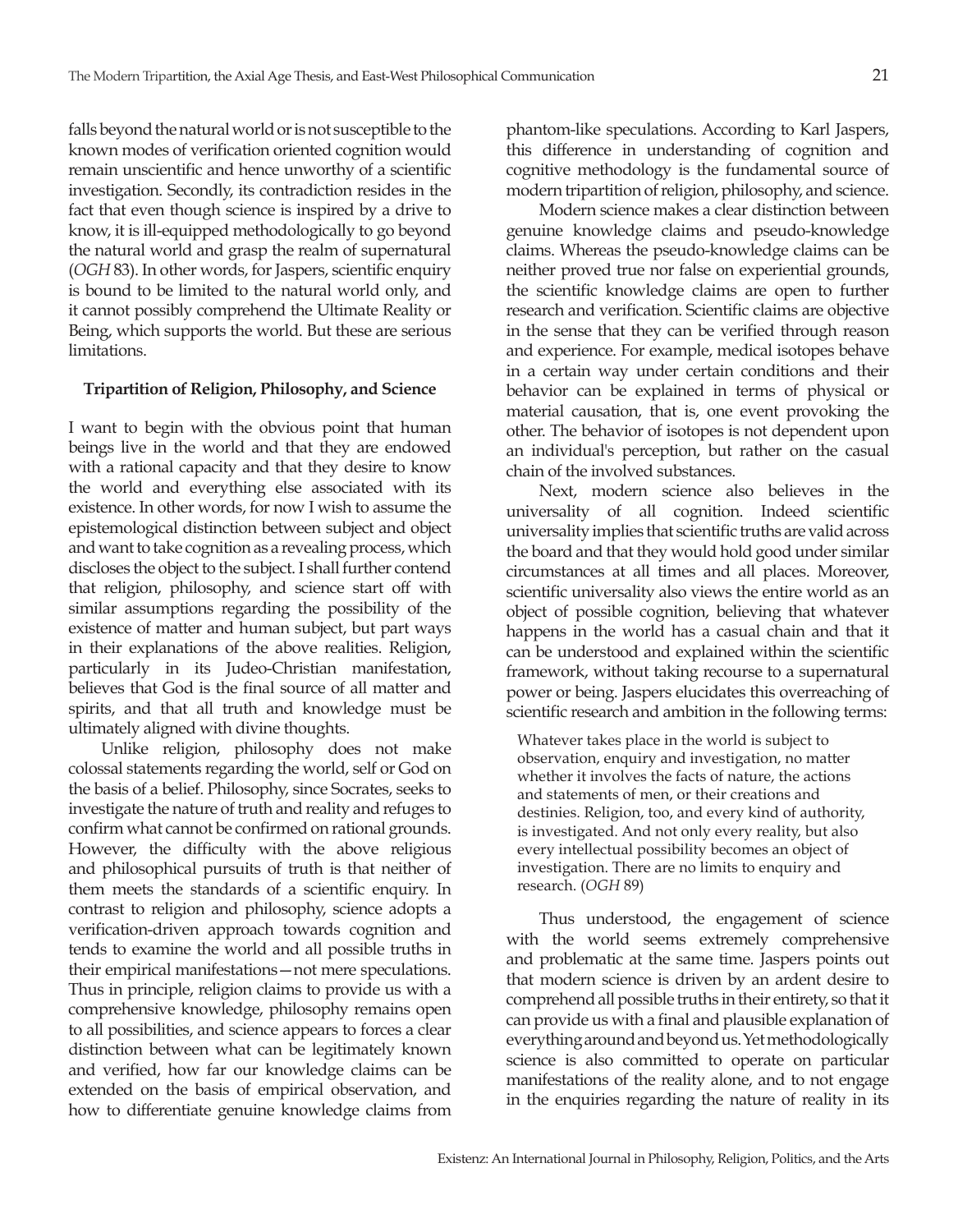falls beyond the natural world or is not susceptible to the known modes of verification oriented cognition would remain unscientific and hence unworthy of a scientific investigation. Secondly, its contradiction resides in the fact that even though science is inspired by a drive to know, it is ill-equipped methodologically to go beyond the natural world and grasp the realm of supernatural (*OGH* 83). In other words, for Jaspers, scientific enquiry is bound to be limited to the natural world only, and it cannot possibly comprehend the Ultimate Reality or Being, which supports the world. But these are serious limitations.

### **Tripartition of Religion, Philosophy, and Science**

I want to begin with the obvious point that human beings live in the world and that they are endowed with a rational capacity and that they desire to know the world and everything else associated with its existence. In other words, for now I wish to assume the epistemological distinction between subject and object and want to take cognition as a revealing process, which discloses the object to the subject. I shall further contend that religion, philosophy, and science start off with similar assumptions regarding the possibility of the existence of matter and human subject, but part ways in their explanations of the above realities. Religion, particularly in its Judeo-Christian manifestation, believes that God is the final source of all matter and spirits, and that all truth and knowledge must be ultimately aligned with divine thoughts.

Unlike religion, philosophy does not make colossal statements regarding the world, self or God on the basis of a belief. Philosophy, since Socrates, seeks to investigate the nature of truth and reality and refuges to confirm what cannot be confirmed on rational grounds. However, the difficulty with the above religious and philosophical pursuits of truth is that neither of them meets the standards of a scientific enquiry. In contrast to religion and philosophy, science adopts a verification-driven approach towards cognition and tends to examine the world and all possible truths in their empirical manifestations—not mere speculations. Thus in principle, religion claims to provide us with a comprehensive knowledge, philosophy remains open to all possibilities, and science appears to forces a clear distinction between what can be legitimately known and verified, how far our knowledge claims can be extended on the basis of empirical observation, and how to differentiate genuine knowledge claims from

phantom-like speculations. According to Karl Jaspers, this difference in understanding of cognition and cognitive methodology is the fundamental source of modern tripartition of religion, philosophy, and science.

Modern science makes a clear distinction between genuine knowledge claims and pseudo-knowledge claims. Whereas the pseudo-knowledge claims can be neither proved true nor false on experiential grounds, the scientific knowledge claims are open to further research and verification. Scientific claims are objective in the sense that they can be verified through reason and experience. For example, medical isotopes behave in a certain way under certain conditions and their behavior can be explained in terms of physical or material causation, that is, one event provoking the other. The behavior of isotopes is not dependent upon an individual's perception, but rather on the casual chain of the involved substances.

Next, modern science also believes in the universality of all cognition. Indeed scientific universality implies that scientific truths are valid across the board and that they would hold good under similar circumstances at all times and all places. Moreover, scientific universality also views the entire world as an object of possible cognition, believing that whatever happens in the world has a casual chain and that it can be understood and explained within the scientific framework, without taking recourse to a supernatural power or being. Jaspers elucidates this overreaching of scientific research and ambition in the following terms:

Whatever takes place in the world is subject to observation, enquiry and investigation, no matter whether it involves the facts of nature, the actions and statements of men, or their creations and destinies. Religion, too, and every kind of authority, is investigated. And not only every reality, but also every intellectual possibility becomes an object of investigation. There are no limits to enquiry and research. (*OGH* 89)

Thus understood, the engagement of science with the world seems extremely comprehensive and problematic at the same time. Jaspers points out that modern science is driven by an ardent desire to comprehend all possible truths in their entirety, so that it can provide us with a final and plausible explanation of everything around and beyond us. Yet methodologically science is also committed to operate on particular manifestations of the reality alone, and to not engage in the enquiries regarding the nature of reality in its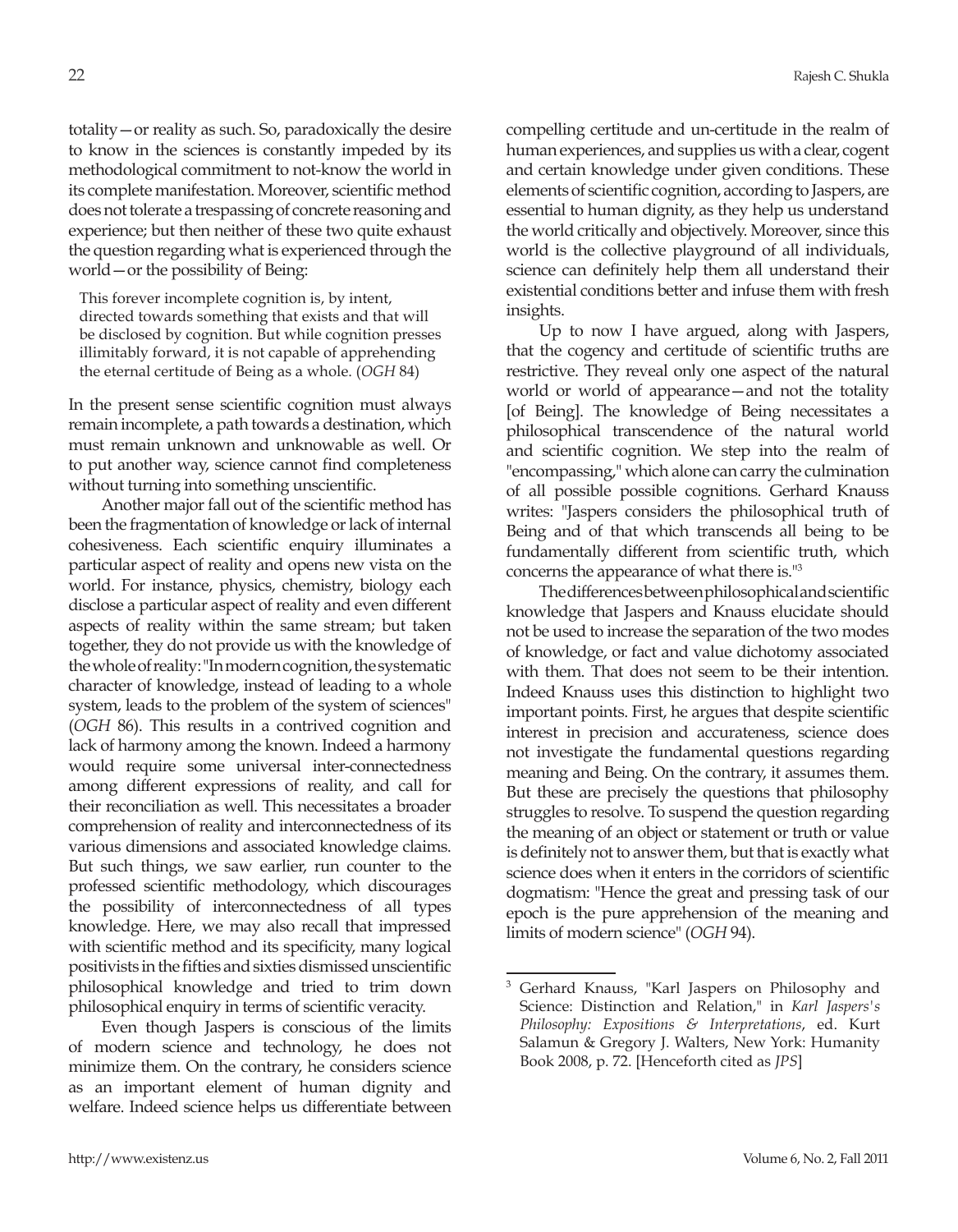totality—or reality as such. So, paradoxically the desire to know in the sciences is constantly impeded by its methodological commitment to not-know the world in its complete manifestation. Moreover, scientific method does not tolerate a trespassing of concrete reasoning and experience; but then neither of these two quite exhaust the question regarding what is experienced through the world—or the possibility of Being:

This forever incomplete cognition is, by intent, directed towards something that exists and that will be disclosed by cognition. But while cognition presses illimitably forward, it is not capable of apprehending the eternal certitude of Being as a whole. (*OGH* 84)

In the present sense scientific cognition must always remain incomplete, a path towards a destination, which must remain unknown and unknowable as well. Or to put another way, science cannot find completeness without turning into something unscientific.

Another major fall out of the scientific method has been the fragmentation of knowledge or lack of internal cohesiveness. Each scientific enquiry illuminates a particular aspect of reality and opens new vista on the world. For instance, physics, chemistry, biology each disclose a particular aspect of reality and even different aspects of reality within the same stream; but taken together, they do not provide us with the knowledge of the whole of reality: "In modern cognition, the systematic character of knowledge, instead of leading to a whole system, leads to the problem of the system of sciences" (*OGH* 86). This results in a contrived cognition and lack of harmony among the known. Indeed a harmony would require some universal inter-connectedness among different expressions of reality, and call for their reconciliation as well. This necessitates a broader comprehension of reality and interconnectedness of its various dimensions and associated knowledge claims. But such things, we saw earlier, run counter to the professed scientific methodology, which discourages the possibility of interconnectedness of all types knowledge. Here, we may also recall that impressed with scientific method and its specificity, many logical positivists in the fifties and sixties dismissed unscientific philosophical knowledge and tried to trim down philosophical enquiry in terms of scientific veracity.

Even though Jaspers is conscious of the limits of modern science and technology, he does not minimize them. On the contrary, he considers science as an important element of human dignity and welfare. Indeed science helps us differentiate between

compelling certitude and un-certitude in the realm of human experiences, and supplies us with a clear, cogent and certain knowledge under given conditions. These elements of scientific cognition, according to Jaspers, are essential to human dignity, as they help us understand the world critically and objectively. Moreover, since this world is the collective playground of all individuals, science can definitely help them all understand their existential conditions better and infuse them with fresh insights.

Up to now I have argued, along with Jaspers, that the cogency and certitude of scientific truths are restrictive. They reveal only one aspect of the natural world or world of appearance—and not the totality [of Being]. The knowledge of Being necessitates a philosophical transcendence of the natural world and scientific cognition. We step into the realm of "encompassing," which alone can carry the culmination of all possible possible cognitions. Gerhard Knauss writes: "Jaspers considers the philosophical truth of Being and of that which transcends all being to be fundamentally different from scientific truth, which concerns the appearance of what there is."3

The differences between philosophical and scientific knowledge that Jaspers and Knauss elucidate should not be used to increase the separation of the two modes of knowledge, or fact and value dichotomy associated with them. That does not seem to be their intention. Indeed Knauss uses this distinction to highlight two important points. First, he argues that despite scientific interest in precision and accurateness, science does not investigate the fundamental questions regarding meaning and Being. On the contrary, it assumes them. But these are precisely the questions that philosophy struggles to resolve. To suspend the question regarding the meaning of an object or statement or truth or value is definitely not to answer them, but that is exactly what science does when it enters in the corridors of scientific dogmatism: "Hence the great and pressing task of our epoch is the pure apprehension of the meaning and limits of modern science" (*OGH* 94).

Gerhard Knauss, "Karl Jaspers on Philosophy and Science: Distinction and Relation," in *Karl Jaspers's Philosophy: Expositions & Interpretations*, ed. Kurt Salamun & Gregory J. Walters, New York: Humanity Book 2008, p. 72. [Henceforth cited as *JPS*]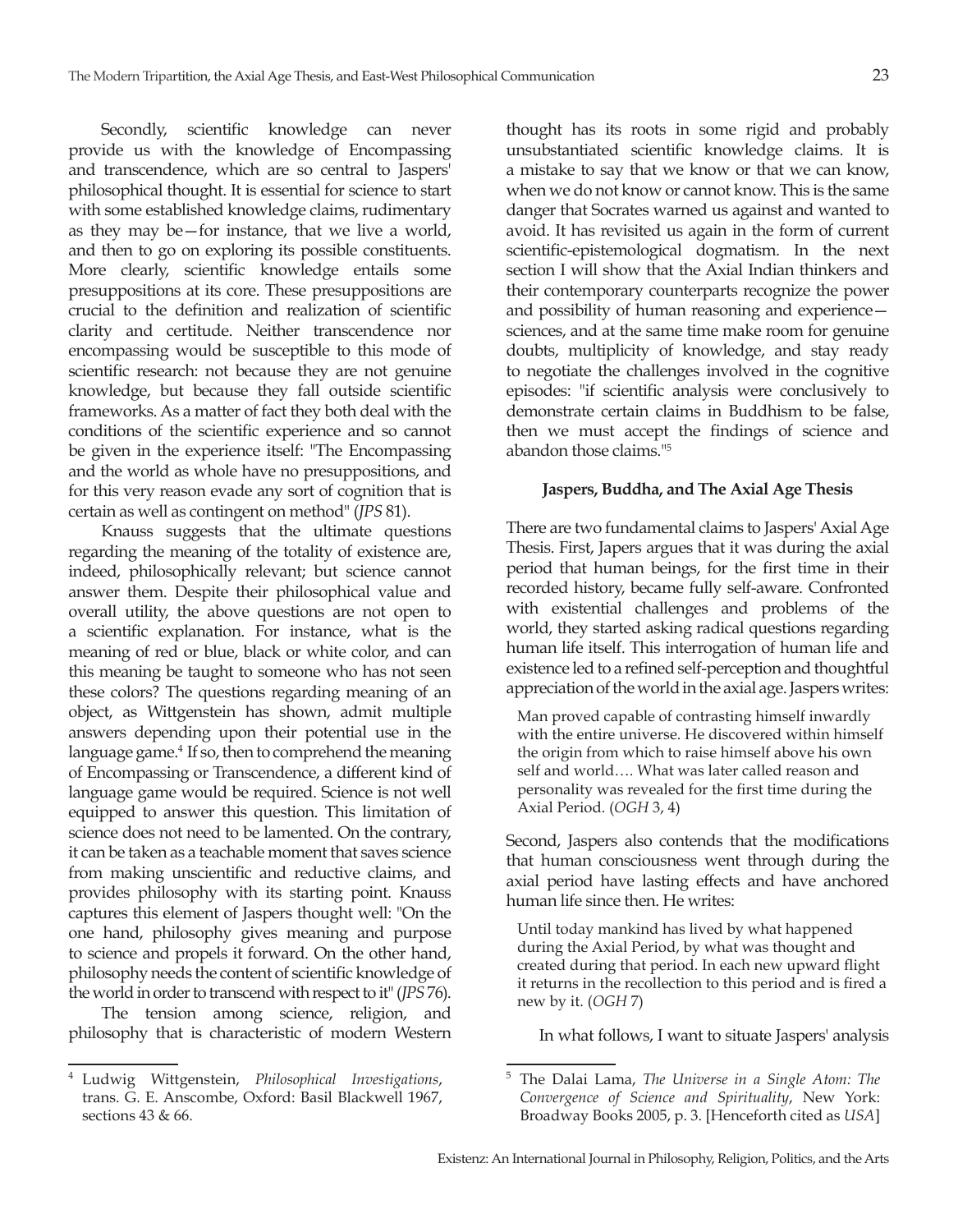Secondly, scientific knowledge can never provide us with the knowledge of Encompassing and transcendence, which are so central to Jaspers' philosophical thought. It is essential for science to start with some established knowledge claims, rudimentary as they may be—for instance, that we live a world, and then to go on exploring its possible constituents. More clearly, scientific knowledge entails some presuppositions at its core. These presuppositions are crucial to the definition and realization of scientific clarity and certitude. Neither transcendence nor encompassing would be susceptible to this mode of scientific research: not because they are not genuine knowledge, but because they fall outside scientific frameworks. As a matter of fact they both deal with the conditions of the scientific experience and so cannot be given in the experience itself: "The Encompassing and the world as whole have no presuppositions, and for this very reason evade any sort of cognition that is certain as well as contingent on method" (*JPS* 81).

Knauss suggests that the ultimate questions regarding the meaning of the totality of existence are, indeed, philosophically relevant; but science cannot answer them. Despite their philosophical value and overall utility, the above questions are not open to a scientific explanation. For instance, what is the meaning of red or blue, black or white color, and can this meaning be taught to someone who has not seen these colors? The questions regarding meaning of an object, as Wittgenstein has shown, admit multiple answers depending upon their potential use in the language game.<sup>4</sup> If so, then to comprehend the meaning of Encompassing or Transcendence, a different kind of language game would be required. Science is not well equipped to answer this question. This limitation of science does not need to be lamented. On the contrary, it can be taken as a teachable moment that saves science from making unscientific and reductive claims, and provides philosophy with its starting point. Knauss captures this element of Jaspers thought well: "On the one hand, philosophy gives meaning and purpose to science and propels it forward. On the other hand, philosophy needs the content of scientific knowledge of the world in order to transcend with respect to it" (*JPS* 76).

The tension among science, religion, and philosophy that is characteristic of modern Western

thought has its roots in some rigid and probably unsubstantiated scientific knowledge claims. It is a mistake to say that we know or that we can know, when we do not know or cannot know. This is the same danger that Socrates warned us against and wanted to avoid. It has revisited us again in the form of current scientific-epistemological dogmatism. In the next section I will show that the Axial Indian thinkers and their contemporary counterparts recognize the power and possibility of human reasoning and experience sciences, and at the same time make room for genuine doubts, multiplicity of knowledge, and stay ready to negotiate the challenges involved in the cognitive episodes: "if scientific analysis were conclusively to demonstrate certain claims in Buddhism to be false, then we must accept the findings of science and abandon those claims."5

### **Jaspers, Buddha, and The Axial Age Thesis**

There are two fundamental claims to Jaspers' Axial Age Thesis. First, Japers argues that it was during the axial period that human beings, for the first time in their recorded history, became fully self-aware. Confronted with existential challenges and problems of the world, they started asking radical questions regarding human life itself. This interrogation of human life and existence led to a refined self-perception and thoughtful appreciation of the world in the axial age. Jaspers writes:

Man proved capable of contrasting himself inwardly with the entire universe. He discovered within himself the origin from which to raise himself above his own self and world…. What was later called reason and personality was revealed for the first time during the Axial Period. (*OGH* 3, 4)

Second, Jaspers also contends that the modifications that human consciousness went through during the axial period have lasting effects and have anchored human life since then. He writes:

Until today mankind has lived by what happened during the Axial Period, by what was thought and created during that period. In each new upward flight it returns in the recollection to this period and is fired a new by it. (*OGH* 7)

In what follows, I want to situate Jaspers' analysis

<sup>4</sup> Ludwig Wittgenstein, *Philosophical Investigations*, trans. G. E. Anscombe, Oxford: Basil Blackwell 1967, sections 43 & 66.

<sup>5</sup> The Dalai Lama, *The Universe in a Single Atom: The Convergence of Science and Spirituality*, New York: Broadway Books 2005, p. 3. [Henceforth cited as *USA*]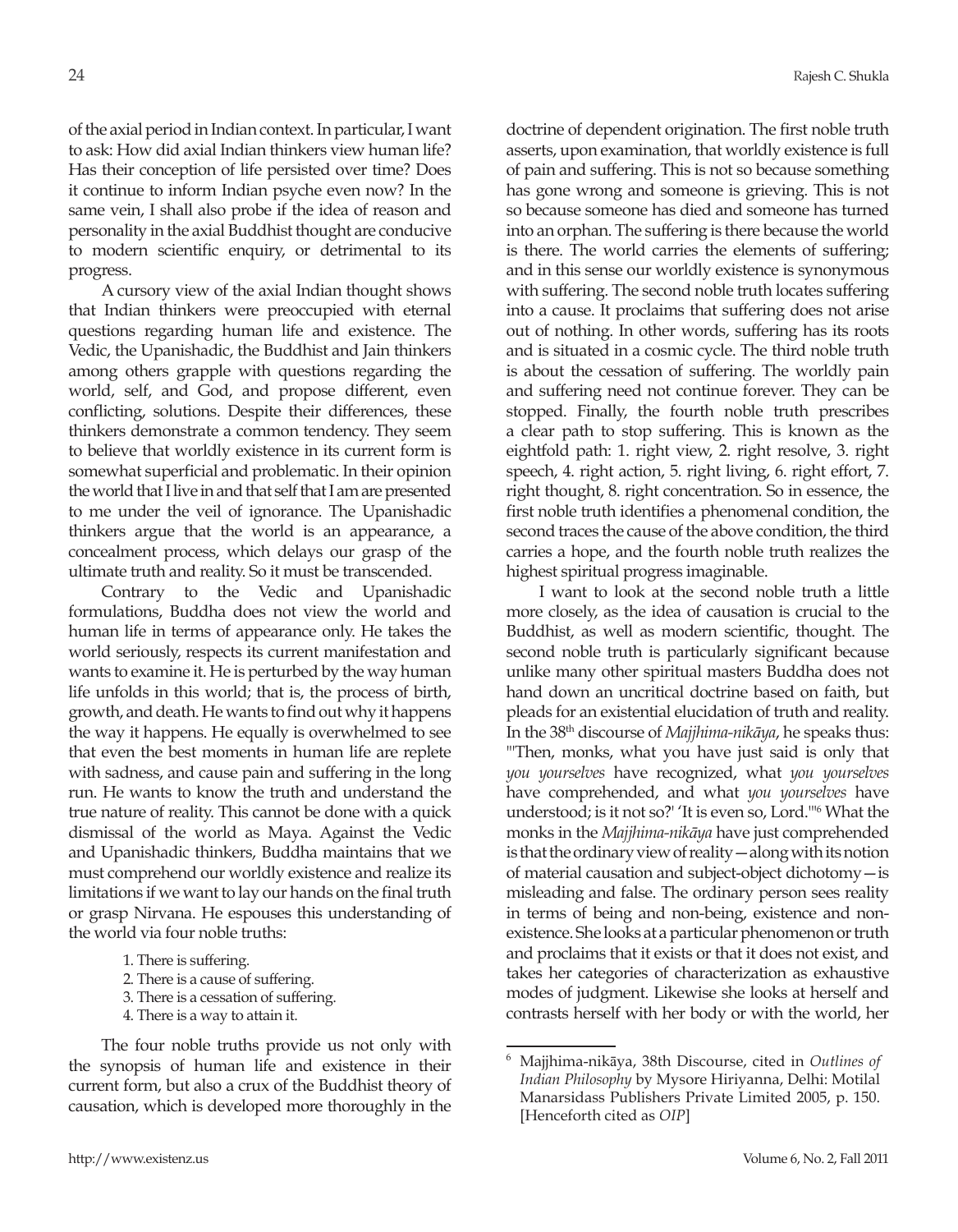of the axial period in Indian context. In particular, I want to ask: How did axial Indian thinkers view human life? Has their conception of life persisted over time? Does it continue to inform Indian psyche even now? In the same vein, I shall also probe if the idea of reason and personality in the axial Buddhist thought are conducive to modern scientific enquiry, or detrimental to its progress.

A cursory view of the axial Indian thought shows that Indian thinkers were preoccupied with eternal questions regarding human life and existence. The Vedic, the Upanishadic, the Buddhist and Jain thinkers among others grapple with questions regarding the world, self, and God, and propose different, even conflicting, solutions. Despite their differences, these thinkers demonstrate a common tendency. They seem to believe that worldly existence in its current form is somewhat superficial and problematic. In their opinion the world that I live in and that self that I am are presented to me under the veil of ignorance. The Upanishadic thinkers argue that the world is an appearance, a concealment process, which delays our grasp of the ultimate truth and reality. So it must be transcended.

Contrary to the Vedic and Upanishadic formulations, Buddha does not view the world and human life in terms of appearance only. He takes the world seriously, respects its current manifestation and wants to examine it. He is perturbed by the way human life unfolds in this world; that is, the process of birth, growth, and death. He wants to find out why it happens the way it happens. He equally is overwhelmed to see that even the best moments in human life are replete with sadness, and cause pain and suffering in the long run. He wants to know the truth and understand the true nature of reality. This cannot be done with a quick dismissal of the world as Maya. Against the Vedic and Upanishadic thinkers, Buddha maintains that we must comprehend our worldly existence and realize its limitations if we want to lay our hands on the final truth or grasp Nirvana. He espouses this understanding of the world via four noble truths:

- 1. There is suffering.
- 2. There is a cause of suffering.
- 3. There is a cessation of suffering.
- 4. There is a way to attain it.

The four noble truths provide us not only with the synopsis of human life and existence in their current form, but also a crux of the Buddhist theory of causation, which is developed more thoroughly in the

doctrine of dependent origination. The first noble truth asserts, upon examination, that worldly existence is full of pain and suffering. This is not so because something has gone wrong and someone is grieving. This is not so because someone has died and someone has turned into an orphan. The suffering is there because the world is there. The world carries the elements of suffering; and in this sense our worldly existence is synonymous with suffering. The second noble truth locates suffering into a cause. It proclaims that suffering does not arise out of nothing. In other words, suffering has its roots and is situated in a cosmic cycle. The third noble truth is about the cessation of suffering. The worldly pain and suffering need not continue forever. They can be stopped. Finally, the fourth noble truth prescribes a clear path to stop suffering. This is known as the eightfold path: 1. right view, 2. right resolve, 3. right speech, 4. right action, 5. right living, 6. right effort, 7. right thought, 8. right concentration. So in essence, the first noble truth identifies a phenomenal condition, the second traces the cause of the above condition, the third carries a hope, and the fourth noble truth realizes the highest spiritual progress imaginable.

I want to look at the second noble truth a little more closely, as the idea of causation is crucial to the Buddhist, as well as modern scientific, thought. The second noble truth is particularly significant because unlike many other spiritual masters Buddha does not hand down an uncritical doctrine based on faith, but pleads for an existential elucidation of truth and reality. In the 38th discourse of *Majjhima-nikāya*, he speaks thus: "'Then, monks, what you have just said is only that *you yourselves* have recognized, what *you yourselves* have comprehended, and what *you yourselves* have understood; is it not so?' 'It is even so, Lord.'"<sup>6</sup> What the monks in the *Majjhima-nikāya* have just comprehended is that the ordinary view of reality—along with its notion of material causation and subject-object dichotomy—is misleading and false. The ordinary person sees reality in terms of being and non-being, existence and nonexistence. She looks at a particular phenomenon or truth and proclaims that it exists or that it does not exist, and takes her categories of characterization as exhaustive modes of judgment. Likewise she looks at herself and contrasts herself with her body or with the world, her

<sup>6</sup> Majjhima-nikāya, 38th Discourse, cited in *Outlines of Indian Philosophy* by Mysore Hiriyanna, Delhi: Motilal Manarsidass Publishers Private Limited 2005, p. 150. [Henceforth cited as *OIP*]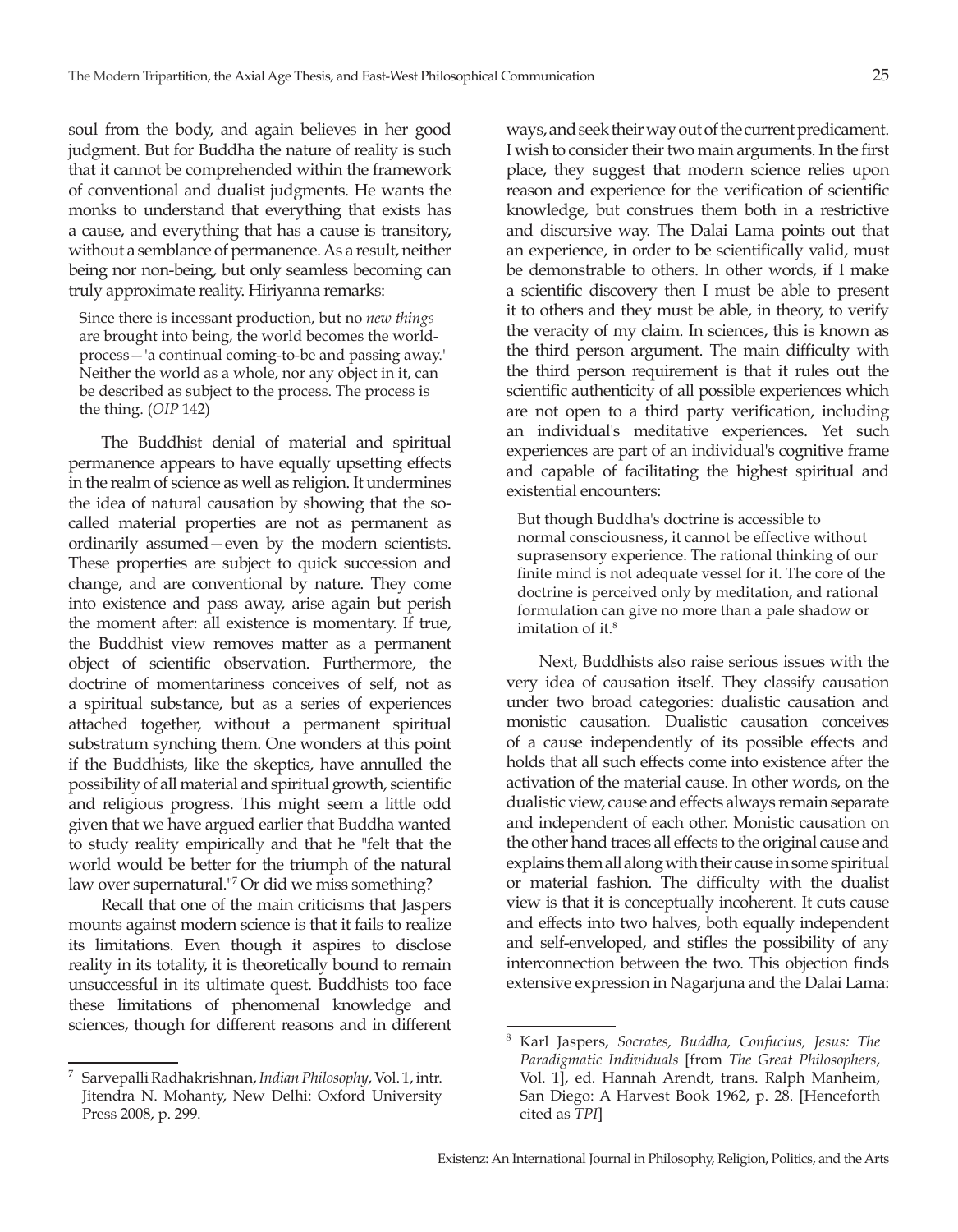soul from the body, and again believes in her good judgment. But for Buddha the nature of reality is such that it cannot be comprehended within the framework of conventional and dualist judgments. He wants the monks to understand that everything that exists has a cause, and everything that has a cause is transitory, without a semblance of permanence. As a result, neither being nor non-being, but only seamless becoming can truly approximate reality. Hiriyanna remarks:

Since there is incessant production, but no *new things* are brought into being, the world becomes the worldprocess—'a continual coming-to-be and passing away.' Neither the world as a whole, nor any object in it, can be described as subject to the process. The process is the thing. (*OIP* 142)

The Buddhist denial of material and spiritual permanence appears to have equally upsetting effects in the realm of science as well as religion. It undermines the idea of natural causation by showing that the socalled material properties are not as permanent as ordinarily assumed—even by the modern scientists. These properties are subject to quick succession and change, and are conventional by nature. They come into existence and pass away, arise again but perish the moment after: all existence is momentary. If true, the Buddhist view removes matter as a permanent object of scientific observation. Furthermore, the doctrine of momentariness conceives of self, not as a spiritual substance, but as a series of experiences attached together, without a permanent spiritual substratum synching them. One wonders at this point if the Buddhists, like the skeptics, have annulled the possibility of all material and spiritual growth, scientific and religious progress. This might seem a little odd given that we have argued earlier that Buddha wanted to study reality empirically and that he "felt that the world would be better for the triumph of the natural law over supernatural."7 Or did we miss something?

Recall that one of the main criticisms that Jaspers mounts against modern science is that it fails to realize its limitations. Even though it aspires to disclose reality in its totality, it is theoretically bound to remain unsuccessful in its ultimate quest. Buddhists too face these limitations of phenomenal knowledge and sciences, though for different reasons and in different

ways, and seek their way out of the current predicament. I wish to consider their two main arguments. In the first place, they suggest that modern science relies upon reason and experience for the verification of scientific knowledge, but construes them both in a restrictive and discursive way. The Dalai Lama points out that an experience, in order to be scientifically valid, must be demonstrable to others. In other words, if I make a scientific discovery then I must be able to present it to others and they must be able, in theory, to verify the veracity of my claim. In sciences, this is known as the third person argument. The main difficulty with the third person requirement is that it rules out the scientific authenticity of all possible experiences which are not open to a third party verification, including an individual's meditative experiences. Yet such experiences are part of an individual's cognitive frame and capable of facilitating the highest spiritual and existential encounters:

But though Buddha's doctrine is accessible to normal consciousness, it cannot be effective without suprasensory experience. The rational thinking of our finite mind is not adequate vessel for it. The core of the doctrine is perceived only by meditation, and rational formulation can give no more than a pale shadow or imitation of it.<sup>8</sup>

Next, Buddhists also raise serious issues with the very idea of causation itself. They classify causation under two broad categories: dualistic causation and monistic causation. Dualistic causation conceives of a cause independently of its possible effects and holds that all such effects come into existence after the activation of the material cause. In other words, on the dualistic view, cause and effects always remain separate and independent of each other. Monistic causation on the other hand traces all effects to the original cause and explains them all along with their cause in some spiritual or material fashion. The difficulty with the dualist view is that it is conceptually incoherent. It cuts cause and effects into two halves, both equally independent and self-enveloped, and stifles the possibility of any interconnection between the two. This objection finds extensive expression in Nagarjuna and the Dalai Lama:

<sup>7</sup> Sarvepalli Radhakrishnan, *Indian Philosophy*, Vol. 1, intr. Jitendra N. Mohanty, New Delhi: Oxford University Press 2008, p. 299.

<sup>8</sup> Karl Jaspers, *Socrates, Buddha, Confucius, Jesus: The Paradigmatic Individuals* [from *The Great Philosophers*, Vol. 1], ed. Hannah Arendt, trans. Ralph Manheim, San Diego: A Harvest Book 1962, p. 28. [Henceforth cited as *TPI*]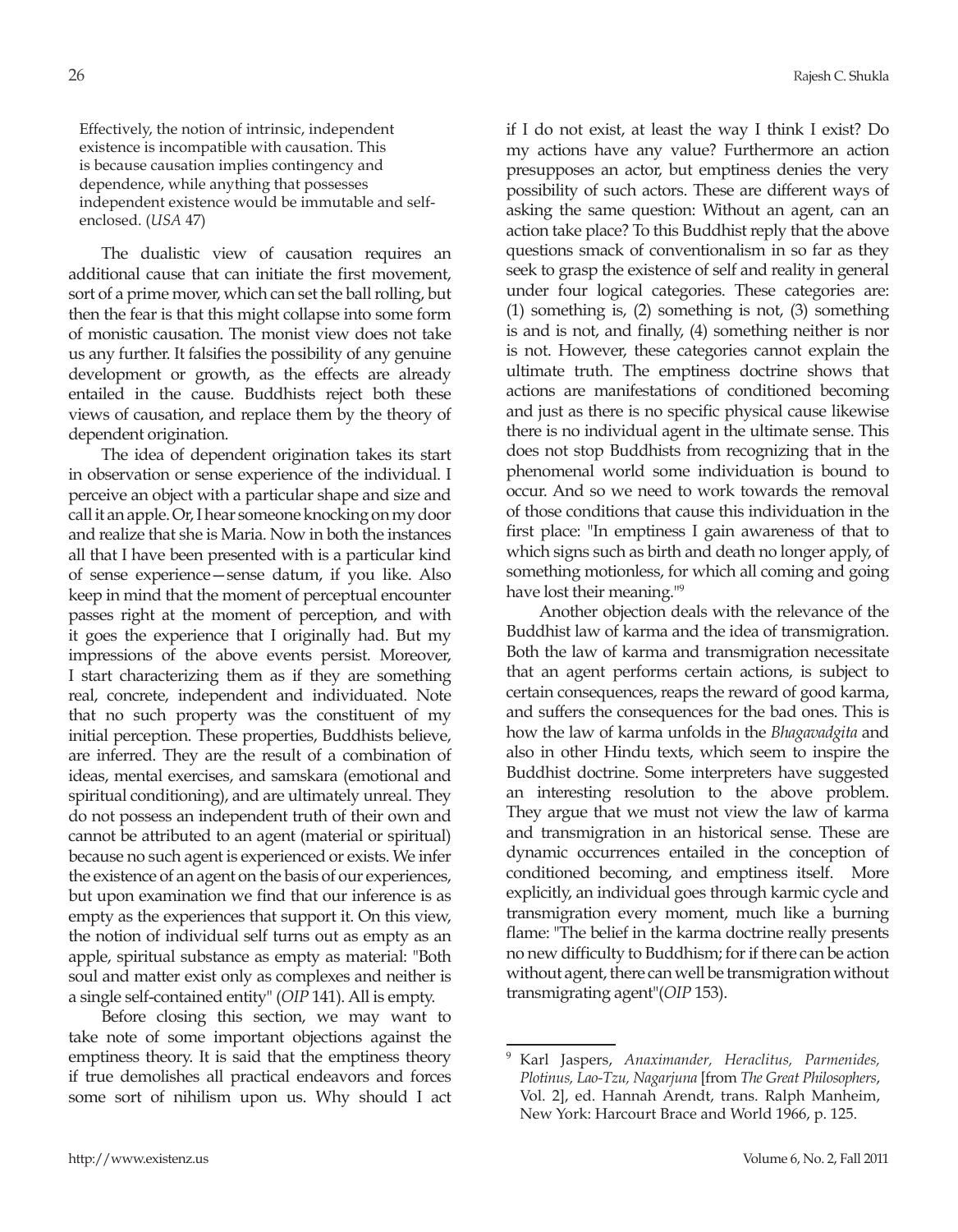Effectively, the notion of intrinsic, independent existence is incompatible with causation. This is because causation implies contingency and dependence, while anything that possesses independent existence would be immutable and selfenclosed. (*USA* 47)

The dualistic view of causation requires an additional cause that can initiate the first movement, sort of a prime mover, which can set the ball rolling, but then the fear is that this might collapse into some form of monistic causation. The monist view does not take us any further. It falsifies the possibility of any genuine development or growth, as the effects are already entailed in the cause. Buddhists reject both these views of causation, and replace them by the theory of dependent origination.

The idea of dependent origination takes its start in observation or sense experience of the individual. I perceive an object with a particular shape and size and call it an apple. Or, I hear someone knocking on my door and realize that she is Maria. Now in both the instances all that I have been presented with is a particular kind of sense experience—sense datum, if you like. Also keep in mind that the moment of perceptual encounter passes right at the moment of perception, and with it goes the experience that I originally had. But my impressions of the above events persist. Moreover, I start characterizing them as if they are something real, concrete, independent and individuated. Note that no such property was the constituent of my initial perception. These properties, Buddhists believe, are inferred. They are the result of a combination of ideas, mental exercises, and samskara (emotional and spiritual conditioning), and are ultimately unreal. They do not possess an independent truth of their own and cannot be attributed to an agent (material or spiritual) because no such agent is experienced or exists. We infer the existence of an agent on the basis of our experiences, but upon examination we find that our inference is as empty as the experiences that support it. On this view, the notion of individual self turns out as empty as an apple, spiritual substance as empty as material: "Both soul and matter exist only as complexes and neither is a single self-contained entity" (*OIP* 141). All is empty.

Before closing this section, we may want to take note of some important objections against the emptiness theory. It is said that the emptiness theory if true demolishes all practical endeavors and forces some sort of nihilism upon us. Why should I act

if I do not exist, at least the way I think I exist? Do my actions have any value? Furthermore an action presupposes an actor, but emptiness denies the very possibility of such actors. These are different ways of asking the same question: Without an agent, can an action take place? To this Buddhist reply that the above questions smack of conventionalism in so far as they seek to grasp the existence of self and reality in general under four logical categories. These categories are: (1) something is, (2) something is not, (3) something is and is not, and finally, (4) something neither is nor is not. However, these categories cannot explain the ultimate truth. The emptiness doctrine shows that actions are manifestations of conditioned becoming and just as there is no specific physical cause likewise there is no individual agent in the ultimate sense. This does not stop Buddhists from recognizing that in the phenomenal world some individuation is bound to occur. And so we need to work towards the removal of those conditions that cause this individuation in the first place: "In emptiness I gain awareness of that to which signs such as birth and death no longer apply, of something motionless, for which all coming and going have lost their meaning."9

Another objection deals with the relevance of the Buddhist law of karma and the idea of transmigration. Both the law of karma and transmigration necessitate that an agent performs certain actions, is subject to certain consequences, reaps the reward of good karma, and suffers the consequences for the bad ones. This is how the law of karma unfolds in the *Bhagavadgita* and also in other Hindu texts, which seem to inspire the Buddhist doctrine. Some interpreters have suggested an interesting resolution to the above problem. They argue that we must not view the law of karma and transmigration in an historical sense. These are dynamic occurrences entailed in the conception of conditioned becoming, and emptiness itself. More explicitly, an individual goes through karmic cycle and transmigration every moment, much like a burning flame: "The belief in the karma doctrine really presents no new difficulty to Buddhism; for if there can be action without agent, there can well be transmigration without transmigrating agent"(*OIP* 153).

<sup>9</sup> Karl Jaspers, *Anaximander, Heraclitus, Parmenides, Plotinus, Lao-Tzu, Nagarjuna* [from *The Great Philosophers*, Vol. 2], ed. Hannah Arendt, trans. Ralph Manheim, New York: Harcourt Brace and World 1966, p. 125.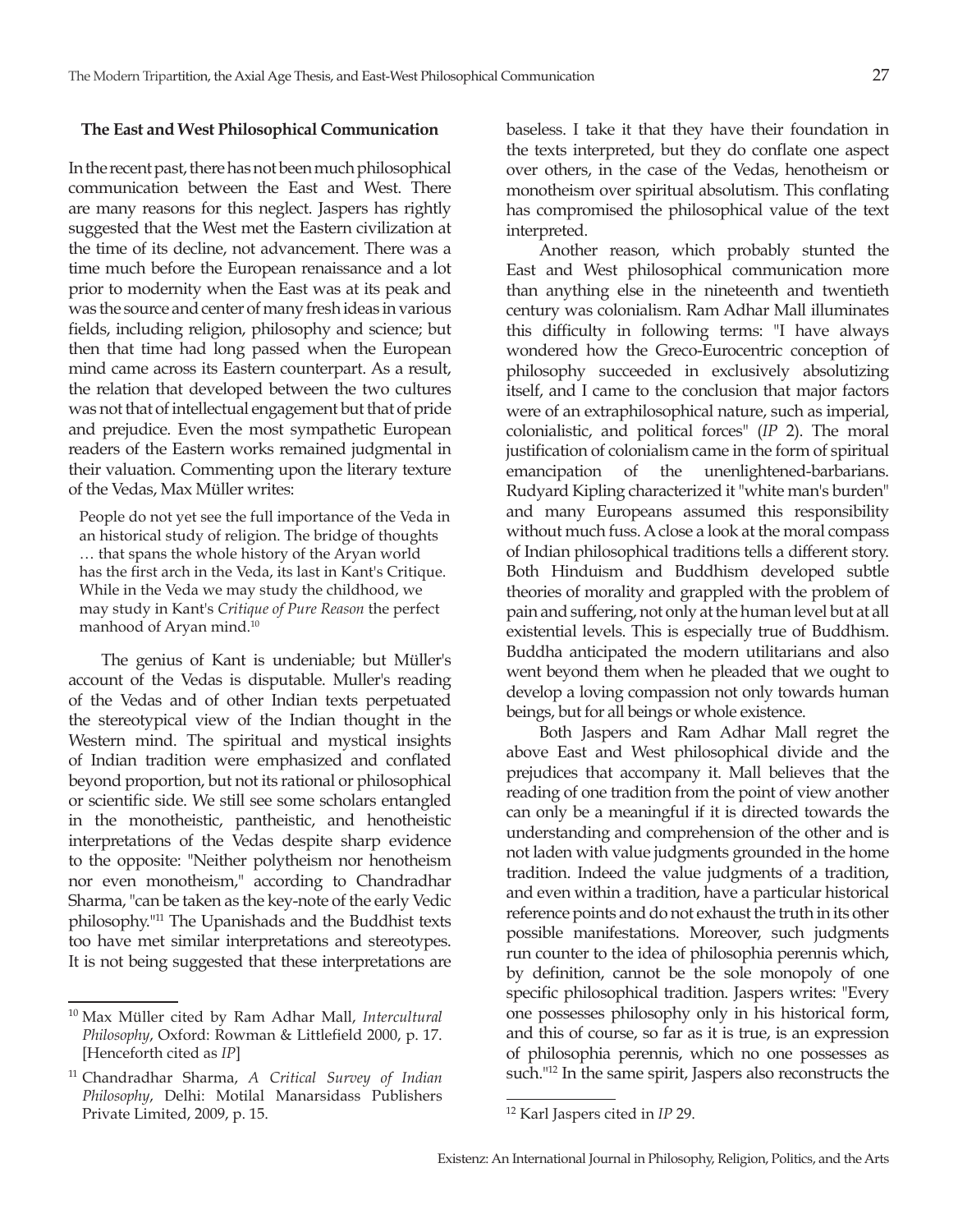### **The East and West Philosophical Communication**

In the recent past, there has not been much philosophical communication between the East and West. There are many reasons for this neglect. Jaspers has rightly suggested that the West met the Eastern civilization at the time of its decline, not advancement. There was a time much before the European renaissance and a lot prior to modernity when the East was at its peak and was the source and center of many fresh ideas in various fields, including religion, philosophy and science; but then that time had long passed when the European mind came across its Eastern counterpart. As a result, the relation that developed between the two cultures was not that of intellectual engagement but that of pride and prejudice. Even the most sympathetic European readers of the Eastern works remained judgmental in their valuation. Commenting upon the literary texture of the Vedas, Max Müller writes:

People do not yet see the full importance of the Veda in an historical study of religion. The bridge of thoughts … that spans the whole history of the Aryan world has the first arch in the Veda, its last in Kant's Critique. While in the Veda we may study the childhood, we may study in Kant's *Critique of Pure Reason* the perfect manhood of Aryan mind.10

The genius of Kant is undeniable; but Müller's account of the Vedas is disputable. Muller's reading of the Vedas and of other Indian texts perpetuated the stereotypical view of the Indian thought in the Western mind. The spiritual and mystical insights of Indian tradition were emphasized and conflated beyond proportion, but not its rational or philosophical or scientific side. We still see some scholars entangled in the monotheistic, pantheistic, and henotheistic interpretations of the Vedas despite sharp evidence to the opposite: "Neither polytheism nor henotheism nor even monotheism," according to Chandradhar Sharma, "can be taken as the key-note of the early Vedic philosophy."11 The Upanishads and the Buddhist texts too have met similar interpretations and stereotypes. It is not being suggested that these interpretations are

baseless. I take it that they have their foundation in the texts interpreted, but they do conflate one aspect over others, in the case of the Vedas, henotheism or monotheism over spiritual absolutism. This conflating has compromised the philosophical value of the text interpreted.

Another reason, which probably stunted the East and West philosophical communication more than anything else in the nineteenth and twentieth century was colonialism. Ram Adhar Mall illuminates this difficulty in following terms: "I have always wondered how the Greco-Eurocentric conception of philosophy succeeded in exclusively absolutizing itself, and I came to the conclusion that major factors were of an extraphilosophical nature, such as imperial, colonialistic, and political forces" (*IP* 2). The moral justification of colonialism came in the form of spiritual emancipation of the unenlightened-barbarians. Rudyard Kipling characterized it "white man's burden" and many Europeans assumed this responsibility without much fuss. A close a look at the moral compass of Indian philosophical traditions tells a different story. Both Hinduism and Buddhism developed subtle theories of morality and grappled with the problem of pain and suffering, not only at the human level but at all existential levels. This is especially true of Buddhism. Buddha anticipated the modern utilitarians and also went beyond them when he pleaded that we ought to develop a loving compassion not only towards human beings, but for all beings or whole existence.

Both Jaspers and Ram Adhar Mall regret the above East and West philosophical divide and the prejudices that accompany it. Mall believes that the reading of one tradition from the point of view another can only be a meaningful if it is directed towards the understanding and comprehension of the other and is not laden with value judgments grounded in the home tradition. Indeed the value judgments of a tradition, and even within a tradition, have a particular historical reference points and do not exhaust the truth in its other possible manifestations. Moreover, such judgments run counter to the idea of philosophia perennis which, by definition, cannot be the sole monopoly of one specific philosophical tradition. Jaspers writes: "Every one possesses philosophy only in his historical form, and this of course, so far as it is true, is an expression of philosophia perennis, which no one possesses as such."<sup>12</sup> In the same spirit, Jaspers also reconstructs the

<sup>10</sup> Max Müller cited by Ram Adhar Mall, *Intercultural Philosophy*, Oxford: Rowman & Littlefield 2000, p. 17. [Henceforth cited as *IP*]

<sup>11</sup> Chandradhar Sharma, *A Critical Survey of Indian Philosophy*, Delhi: Motilal Manarsidass Publishers Private Limited, 2009, p. 15.

<sup>12</sup> Karl Jaspers cited in *IP* 29.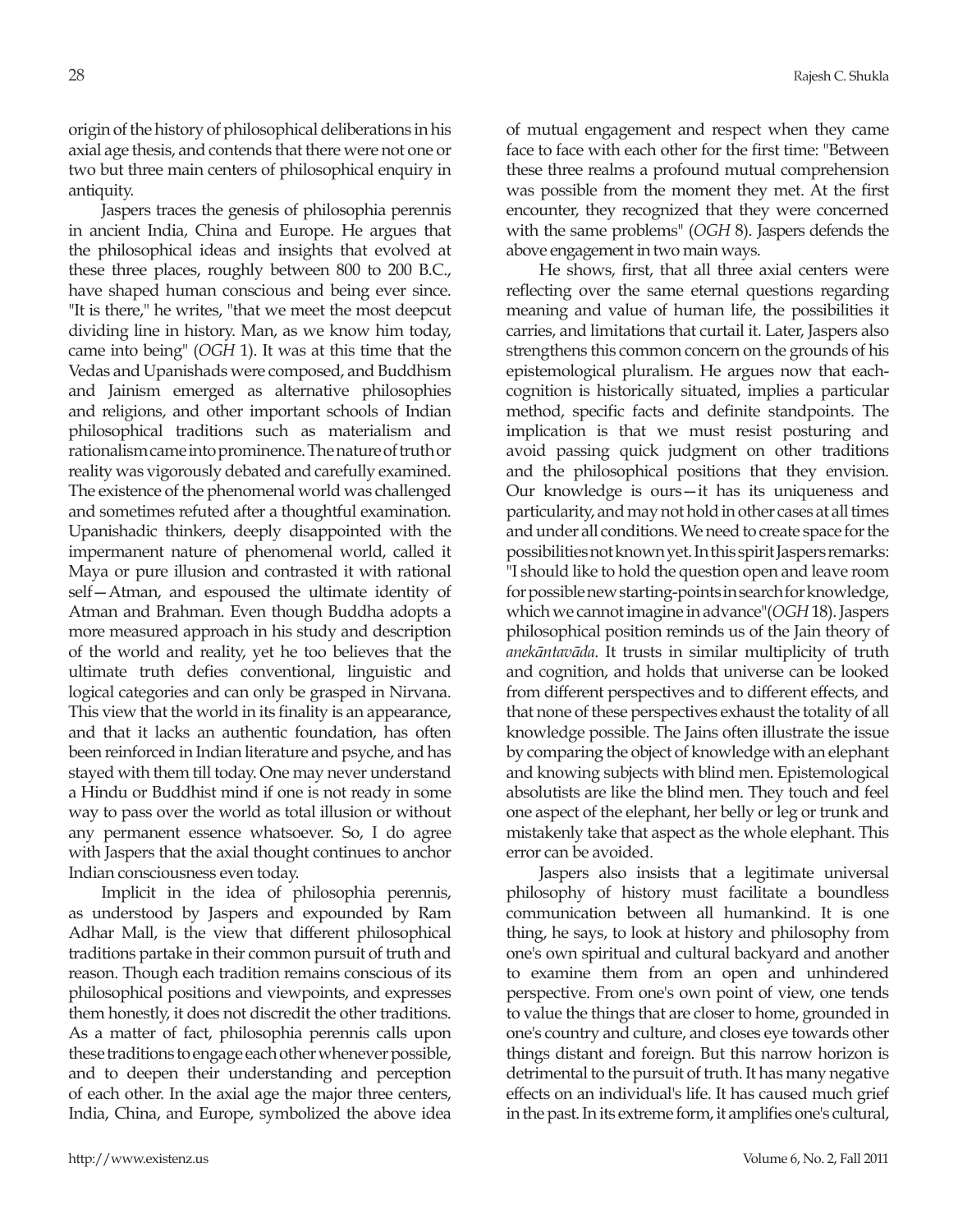origin of the history of philosophical deliberations in his axial age thesis, and contends that there were not one or two but three main centers of philosophical enquiry in antiquity.

Jaspers traces the genesis of philosophia perennis in ancient India, China and Europe. He argues that the philosophical ideas and insights that evolved at these three places, roughly between 800 to 200 B.C., have shaped human conscious and being ever since. "It is there," he writes, "that we meet the most deepcut dividing line in history. Man, as we know him today, came into being" (*OGH* 1). It was at this time that the Vedas and Upanishads were composed, and Buddhism and Jainism emerged as alternative philosophies and religions, and other important schools of Indian philosophical traditions such as materialism and rationalism came into prominence. The nature of truth or reality was vigorously debated and carefully examined. The existence of the phenomenal world was challenged and sometimes refuted after a thoughtful examination. Upanishadic thinkers, deeply disappointed with the impermanent nature of phenomenal world, called it Maya or pure illusion and contrasted it with rational self—Atman, and espoused the ultimate identity of Atman and Brahman. Even though Buddha adopts a more measured approach in his study and description of the world and reality, yet he too believes that the ultimate truth defies conventional, linguistic and logical categories and can only be grasped in Nirvana. This view that the world in its finality is an appearance, and that it lacks an authentic foundation, has often been reinforced in Indian literature and psyche, and has stayed with them till today. One may never understand a Hindu or Buddhist mind if one is not ready in some way to pass over the world as total illusion or without any permanent essence whatsoever. So, I do agree with Jaspers that the axial thought continues to anchor Indian consciousness even today.

Implicit in the idea of philosophia perennis, as understood by Jaspers and expounded by Ram Adhar Mall, is the view that different philosophical traditions partake in their common pursuit of truth and reason. Though each tradition remains conscious of its philosophical positions and viewpoints, and expresses them honestly, it does not discredit the other traditions. As a matter of fact, philosophia perennis calls upon these traditions to engage each other whenever possible, and to deepen their understanding and perception of each other. In the axial age the major three centers, India, China, and Europe, symbolized the above idea

of mutual engagement and respect when they came face to face with each other for the first time: "Between these three realms a profound mutual comprehension was possible from the moment they met. At the first encounter, they recognized that they were concerned with the same problems" (*OGH* 8). Jaspers defends the above engagement in two main ways.

He shows, first, that all three axial centers were reflecting over the same eternal questions regarding meaning and value of human life, the possibilities it carries, and limitations that curtail it. Later, Jaspers also strengthens this common concern on the grounds of his epistemological pluralism. He argues now that eachcognition is historically situated, implies a particular method, specific facts and definite standpoints. The implication is that we must resist posturing and avoid passing quick judgment on other traditions and the philosophical positions that they envision. Our knowledge is ours—it has its uniqueness and particularity, and may not hold in other cases at all times and under all conditions. We need to create space for the possibilities not known yet. In this spirit Jaspers remarks: "I should like to hold the question open and leave room for possible new starting-points in search for knowledge, which we cannot imagine in advance"(*OGH* 18). Jaspers philosophical position reminds us of the Jain theory of *anekāntavāda*. It trusts in similar multiplicity of truth and cognition, and holds that universe can be looked from different perspectives and to different effects, and that none of these perspectives exhaust the totality of all knowledge possible. The Jains often illustrate the issue by comparing the object of knowledge with an elephant and knowing subjects with blind men. Epistemological absolutists are like the blind men. They touch and feel one aspect of the elephant, her belly or leg or trunk and mistakenly take that aspect as the whole elephant. This error can be avoided.

Jaspers also insists that a legitimate universal philosophy of history must facilitate a boundless communication between all humankind. It is one thing, he says, to look at history and philosophy from one's own spiritual and cultural backyard and another to examine them from an open and unhindered perspective. From one's own point of view, one tends to value the things that are closer to home, grounded in one's country and culture, and closes eye towards other things distant and foreign. But this narrow horizon is detrimental to the pursuit of truth. It has many negative effects on an individual's life. It has caused much grief in the past. In its extreme form, it amplifies one's cultural,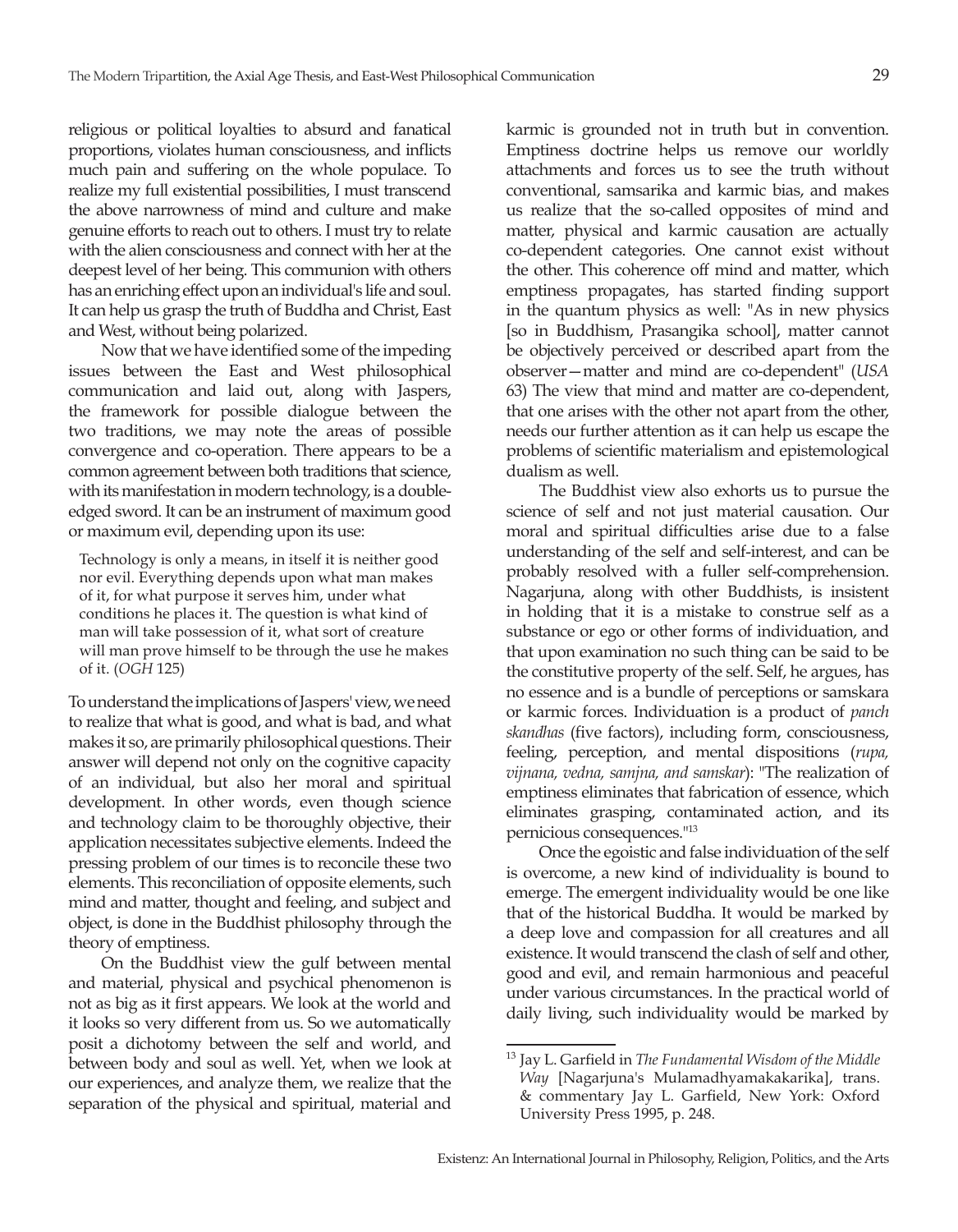religious or political loyalties to absurd and fanatical proportions, violates human consciousness, and inflicts much pain and suffering on the whole populace. To realize my full existential possibilities, I must transcend the above narrowness of mind and culture and make genuine efforts to reach out to others. I must try to relate with the alien consciousness and connect with her at the deepest level of her being. This communion with others has an enriching effect upon an individual's life and soul. It can help us grasp the truth of Buddha and Christ, East and West, without being polarized.

Now that we have identified some of the impeding issues between the East and West philosophical communication and laid out, along with Jaspers, the framework for possible dialogue between the two traditions, we may note the areas of possible convergence and co-operation. There appears to be a common agreement between both traditions that science, with its manifestation in modern technology, is a doubleedged sword. It can be an instrument of maximum good or maximum evil, depending upon its use:

Technology is only a means, in itself it is neither good nor evil. Everything depends upon what man makes of it, for what purpose it serves him, under what conditions he places it. The question is what kind of man will take possession of it, what sort of creature will man prove himself to be through the use he makes of it. (*OGH* 125)

To understand the implications of Jaspers' view, we need to realize that what is good, and what is bad, and what makes it so, are primarily philosophical questions. Their answer will depend not only on the cognitive capacity of an individual, but also her moral and spiritual development. In other words, even though science and technology claim to be thoroughly objective, their application necessitates subjective elements. Indeed the pressing problem of our times is to reconcile these two elements. This reconciliation of opposite elements, such mind and matter, thought and feeling, and subject and object, is done in the Buddhist philosophy through the theory of emptiness.

On the Buddhist view the gulf between mental and material, physical and psychical phenomenon is not as big as it first appears. We look at the world and it looks so very different from us. So we automatically posit a dichotomy between the self and world, and between body and soul as well. Yet, when we look at our experiences, and analyze them, we realize that the separation of the physical and spiritual, material and

karmic is grounded not in truth but in convention. Emptiness doctrine helps us remove our worldly attachments and forces us to see the truth without conventional, samsarika and karmic bias, and makes us realize that the so-called opposites of mind and matter, physical and karmic causation are actually co-dependent categories. One cannot exist without the other. This coherence off mind and matter, which emptiness propagates, has started finding support in the quantum physics as well: "As in new physics [so in Buddhism, Prasangika school], matter cannot be objectively perceived or described apart from the observer—matter and mind are co-dependent" (*USA* 63) The view that mind and matter are co-dependent, that one arises with the other not apart from the other, needs our further attention as it can help us escape the problems of scientific materialism and epistemological dualism as well.

The Buddhist view also exhorts us to pursue the science of self and not just material causation. Our moral and spiritual difficulties arise due to a false understanding of the self and self-interest, and can be probably resolved with a fuller self-comprehension. Nagarjuna, along with other Buddhists, is insistent in holding that it is a mistake to construe self as a substance or ego or other forms of individuation, and that upon examination no such thing can be said to be the constitutive property of the self. Self, he argues, has no essence and is a bundle of perceptions or samskara or karmic forces. Individuation is a product of *panch skandhas* (five factors), including form, consciousness, feeling, perception, and mental dispositions (*rupa, vijnana, vedna, samjna, and samskar*): "The realization of emptiness eliminates that fabrication of essence, which eliminates grasping, contaminated action, and its pernicious consequences."13

Once the egoistic and false individuation of the self is overcome, a new kind of individuality is bound to emerge. The emergent individuality would be one like that of the historical Buddha. It would be marked by a deep love and compassion for all creatures and all existence. It would transcend the clash of self and other, good and evil, and remain harmonious and peaceful under various circumstances. In the practical world of daily living, such individuality would be marked by

<sup>13</sup> Jay L. Garfield in *The Fundamental Wisdom of the Middle Way* [Nagarjuna's Mulamadhyamakakarika], trans. & commentary Jay L. Garfield, New York: Oxford University Press 1995, p. 248.